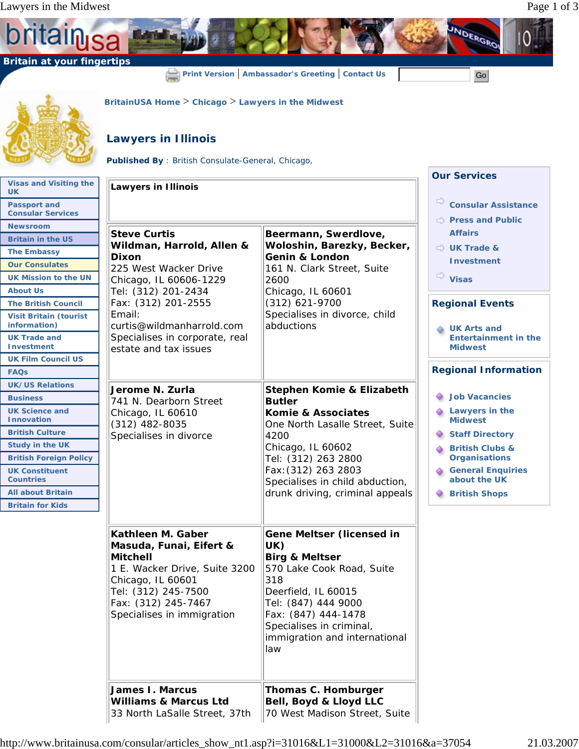**ritain** 

b

 **Britain at your fingertips**



**Print Version** | **Ambassador's Greeting** | **Contact Us** | **Contact Of Strate** | **Go** | **Go** | **Go** | **Go** | **Go** | **Go** | **Go** | **Go** | **Go** | **Go** | **Go** | **Go** | **Go** | **Go** | **Go** | **Go** | **Go** | **Go** | **Go** | **Go** |

UNDERGROI

## **Lawyers in Illinois**

**Published By** : British Consulate-General, Chicago,

**BritainUSA Home** > **Chicago** > **Lawyers in the Midwest**

|                                                 |                                                                                                                                                                              |                                                                                                                                                                                                               | <b>Our Services</b>                           |
|-------------------------------------------------|------------------------------------------------------------------------------------------------------------------------------------------------------------------------------|---------------------------------------------------------------------------------------------------------------------------------------------------------------------------------------------------------------|-----------------------------------------------|
| <b>Visas and Visiting the</b><br><b>UK</b>      | <b>Lawyers in Illinois</b>                                                                                                                                                   |                                                                                                                                                                                                               |                                               |
| <b>Passport and</b><br><b>Consular Services</b> |                                                                                                                                                                              |                                                                                                                                                                                                               | $\Rightarrow$<br><b>Consular Assistance</b>   |
| <b>Newsroom</b>                                 |                                                                                                                                                                              |                                                                                                                                                                                                               | $\Rightarrow$ Press and Public                |
| <b>Britain in the US</b>                        | <b>Steve Curtis</b>                                                                                                                                                          | Beermann, Swerdlove,                                                                                                                                                                                          | <b>Affairs</b>                                |
| <b>The Embassy</b>                              | Wildman, Harrold, Allen &<br><b>Dixon</b>                                                                                                                                    | Woloshin, Barezky, Becker,<br><b>Genin &amp; London</b>                                                                                                                                                       | $\Rightarrow$ UK Trade &                      |
| <b>Our Consulates</b>                           | 225 West Wacker Drive                                                                                                                                                        | 161 N. Clark Street, Suite                                                                                                                                                                                    | <b>Investment</b>                             |
| <b>UK Mission to the UN</b>                     | Chicago, IL 60606-1229                                                                                                                                                       | 2600                                                                                                                                                                                                          | $\Rightarrow$<br><b>Visas</b>                 |
| <b>About Us</b>                                 | Tel: (312) 201-2434                                                                                                                                                          | Chicago, IL 60601                                                                                                                                                                                             |                                               |
| <b>The British Council</b>                      | Fax: (312) 201-2555                                                                                                                                                          | (312) 621-9700                                                                                                                                                                                                | <b>Regional Events</b>                        |
| <b>Visit Britain (tourist</b><br>information)   | Email:<br>curtis@wildmanharrold.com                                                                                                                                          | Specialises in divorce, child<br>abductions                                                                                                                                                                   | <b>UK Arts and</b>                            |
| <b>UK Trade and</b><br><b>Investment</b>        | Specialises in corporate, real<br>estate and tax issues                                                                                                                      |                                                                                                                                                                                                               | <b>Entertainment in the</b><br><b>Midwest</b> |
| <b>UK Film Council US</b>                       |                                                                                                                                                                              |                                                                                                                                                                                                               |                                               |
| <b>FAQs</b>                                     |                                                                                                                                                                              |                                                                                                                                                                                                               | <b>Regional Information</b>                   |
| <b>UK/US Relations</b>                          | Jerome N. Zurla                                                                                                                                                              | Stephen Komie & Elizabeth                                                                                                                                                                                     |                                               |
| <b>Business</b>                                 | 741 N. Dearborn Street                                                                                                                                                       | <b>Butler</b>                                                                                                                                                                                                 | <b>Job Vacancies</b>                          |
| <b>UK Science and</b><br><b>Innovation</b>      | Chicago, IL 60610<br>$(312)$ 482-8035                                                                                                                                        | Komie & Associates<br>One North Lasalle Street, Suite                                                                                                                                                         | Lawyers in the<br><b>Midwest</b>              |
| <b>British Culture</b>                          | Specialises in divorce                                                                                                                                                       | 4200                                                                                                                                                                                                          | <b>Staff Directory</b>                        |
| <b>Study in the UK</b>                          |                                                                                                                                                                              | Chicago, IL 60602                                                                                                                                                                                             | <b>British Clubs &amp;</b>                    |
| <b>British Foreign Policy</b>                   |                                                                                                                                                                              | Tel: (312) 263 2800                                                                                                                                                                                           | <b>Organisations</b>                          |
| <b>UK Constituent</b><br><b>Countries</b>       |                                                                                                                                                                              | Fax: (312) 263 2803<br>Specialises in child abduction,                                                                                                                                                        | <b>General Enquiries</b><br>about the UK      |
| <b>All about Britain</b>                        |                                                                                                                                                                              | drunk driving, criminal appeals                                                                                                                                                                               | <b>British Shops</b>                          |
| <b>Britain for Kids</b>                         |                                                                                                                                                                              |                                                                                                                                                                                                               |                                               |
|                                                 | Kathleen M. Gaber                                                                                                                                                            | <b>Gene Meltser (licensed in</b>                                                                                                                                                                              |                                               |
|                                                 | Masuda, Funai, Eifert &<br><b>Mitchell</b><br>1 E. Wacker Drive, Suite 3200<br>Chicago, IL 60601<br>Tel: (312) 245-7500<br>Fax: (312) 245-7467<br>Specialises in immigration | UK)<br><b>Birg &amp; Meltser</b><br>570 Lake Cook Road, Suite<br>318<br>Deerfield, IL 60015<br>Tel: (847) 444 9000<br>Fax: (847) 444-1478<br>Specialises in criminal,<br>immigration and international<br>law |                                               |
|                                                 | <b>James I. Marcus</b><br><b>Williams &amp; Marcus Ltd</b><br>33 North LaSalle Street, 37th                                                                                  | Thomas C. Homburger<br>Bell, Boyd & Lloyd LLC<br>70 West Madison Street, Suite                                                                                                                                |                                               |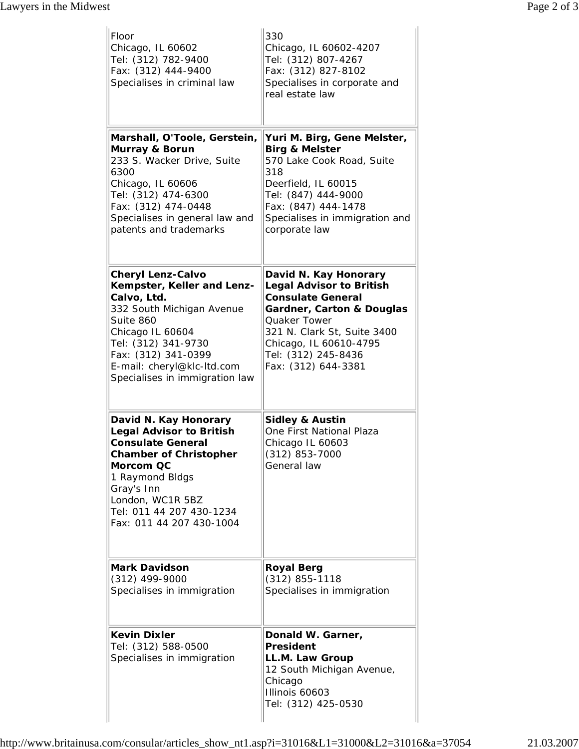| Floor<br>Chicago, IL 60602<br>Tel: (312) 782-9400<br>Fax: (312) 444-9400<br>Specialises in criminal law                                                                                                                                           | 330<br>Chicago, IL 60602-4207<br>Tel: (312) 807-4267<br>Fax: (312) 827-8102<br>Specialises in corporate and<br>real estate law                                                                                                                             |  |
|---------------------------------------------------------------------------------------------------------------------------------------------------------------------------------------------------------------------------------------------------|------------------------------------------------------------------------------------------------------------------------------------------------------------------------------------------------------------------------------------------------------------|--|
| Marshall, O'Toole, Gerstein,<br>Murray & Borun<br>233 S. Wacker Drive, Suite<br>6300<br>Chicago, IL 60606<br>Tel: (312) 474-6300<br>Fax: (312) 474-0448<br>Specialises in general law and<br>patents and trademarks                               | Yuri M. Birg, Gene Melster,<br><b>Birg &amp; Melster</b><br>570 Lake Cook Road, Suite<br>318<br>Deerfield, IL 60015<br>Tel: (847) 444-9000<br>Fax: (847) 444-1478<br>Specialises in immigration and<br>corporate law                                       |  |
| <b>Cheryl Lenz-Calvo</b><br>Kempster, Keller and Lenz-<br>Calvo, Ltd.<br>332 South Michigan Avenue<br>Suite 860<br>Chicago IL 60604<br>Tel: (312) 341-9730<br>Fax: (312) 341-0399<br>E-mail: cheryl@klc-ltd.com<br>Specialises in immigration law | David N. Kay Honorary<br><b>Legal Advisor to British</b><br><b>Consulate General</b><br><b>Gardner, Carton &amp; Douglas</b><br><b>Quaker Tower</b><br>321 N. Clark St, Suite 3400<br>Chicago, IL 60610-4795<br>Tel: (312) 245-8436<br>Fax: (312) 644-3381 |  |
| David N. Kay Honorary<br><b>Legal Advisor to British</b><br><b>Consulate General</b><br><b>Chamber of Christopher</b><br>Morcom QC<br>1 Raymond Bldgs<br>Gray's Inn<br>London, WC1R 5BZ<br>Tel: 011 44 207 430-1234<br>Fax: 011 44 207 430-1004   | <b>Sidley &amp; Austin</b><br>One First National Plaza<br>Chicago IL 60603<br>(312) 853-7000<br>General law                                                                                                                                                |  |
| <b>Mark Davidson</b><br>$(312)$ 499-9000<br>Specialises in immigration                                                                                                                                                                            | <b>Royal Berg</b><br>(312) 855-1118<br>Specialises in immigration                                                                                                                                                                                          |  |
| <b>Kevin Dixler</b><br>Tel: (312) 588-0500<br>Specialises in immigration                                                                                                                                                                          | Donald W. Garner,<br><b>President</b><br>LL.M. Law Group<br>12 South Michigan Avenue,<br>Chicago<br>Illinois 60603<br>Tel: (312) 425-0530                                                                                                                  |  |